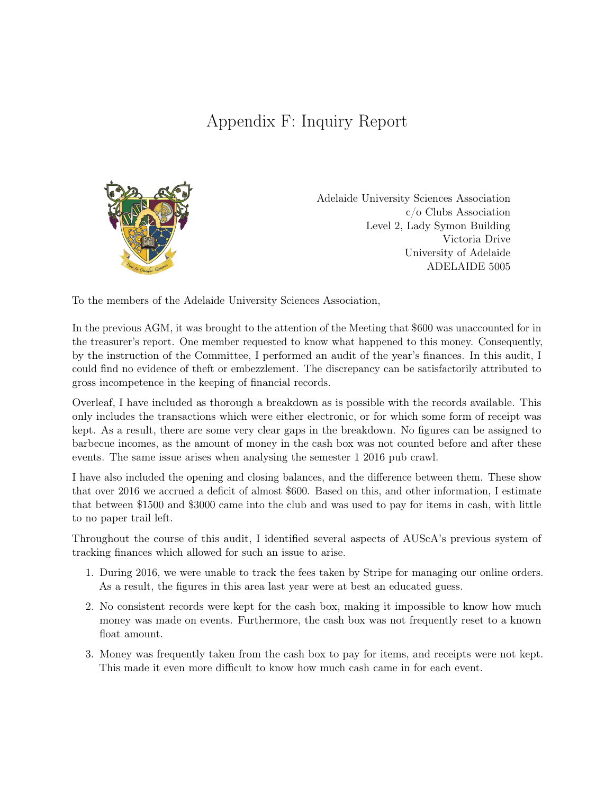## Appendix F: Inquiry Report



Adelaide University Sciences Association c/o Clubs Association Level 2, Lady Symon Building Victoria Drive University of Adelaide ADELAIDE 5005

To the members of the Adelaide University Sciences Association,

In the previous AGM, it was brought to the attention of the Meeting that \$600 was unaccounted for in the treasurer's report. One member requested to know what happened to this money. Consequently, by the instruction of the Committee, I performed an audit of the year's finances. In this audit, I could find no evidence of theft or embezzlement. The discrepancy can be satisfactorily attributed to gross incompetence in the keeping of financial records.

Overleaf, I have included as thorough a breakdown as is possible with the records available. This only includes the transactions which were either electronic, or for which some form of receipt was kept. As a result, there are some very clear gaps in the breakdown. No figures can be assigned to barbecue incomes, as the amount of money in the cash box was not counted before and after these events. The same issue arises when analysing the semester 1 2016 pub crawl.

I have also included the opening and closing balances, and the difference between them. These show that over 2016 we accrued a deficit of almost \$600. Based on this, and other information, I estimate that between \$1500 and \$3000 came into the club and was used to pay for items in cash, with little to no paper trail left.

Throughout the course of this audit, I identified several aspects of AUScA's previous system of tracking finances which allowed for such an issue to arise.

- 1. During 2016, we were unable to track the fees taken by Stripe for managing our online orders. As a result, the figures in this area last year were at best an educated guess.
- 2. No consistent records were kept for the cash box, making it impossible to know how much money was made on events. Furthermore, the cash box was not frequently reset to a known float amount.
- 3. Money was frequently taken from the cash box to pay for items, and receipts were not kept. This made it even more difficult to know how much cash came in for each event.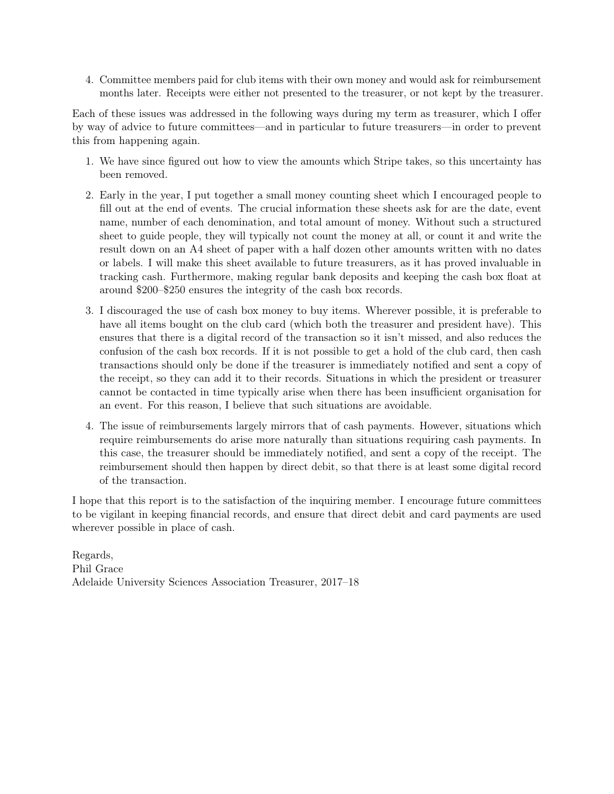4. Committee members paid for club items with their own money and would ask for reimbursement months later. Receipts were either not presented to the treasurer, or not kept by the treasurer.

Each of these issues was addressed in the following ways during my term as treasurer, which I offer by way of advice to future committees—and in particular to future treasurers—in order to prevent this from happening again.

- 1. We have since figured out how to view the amounts which Stripe takes, so this uncertainty has been removed.
- 2. Early in the year, I put together a small money counting sheet which I encouraged people to fill out at the end of events. The crucial information these sheets ask for are the date, event name, number of each denomination, and total amount of money. Without such a structured sheet to guide people, they will typically not count the money at all, or count it and write the result down on an A4 sheet of paper with a half dozen other amounts written with no dates or labels. I will make this sheet available to future treasurers, as it has proved invaluable in tracking cash. Furthermore, making regular bank deposits and keeping the cash box float at around \$200–\$250 ensures the integrity of the cash box records.
- 3. I discouraged the use of cash box money to buy items. Wherever possible, it is preferable to have all items bought on the club card (which both the treasurer and president have). This ensures that there is a digital record of the transaction so it isn't missed, and also reduces the confusion of the cash box records. If it is not possible to get a hold of the club card, then cash transactions should only be done if the treasurer is immediately notified and sent a copy of the receipt, so they can add it to their records. Situations in which the president or treasurer cannot be contacted in time typically arise when there has been insufficient organisation for an event. For this reason, I believe that such situations are avoidable.
- 4. The issue of reimbursements largely mirrors that of cash payments. However, situations which require reimbursements do arise more naturally than situations requiring cash payments. In this case, the treasurer should be immediately notified, and sent a copy of the receipt. The reimbursement should then happen by direct debit, so that there is at least some digital record of the transaction.

I hope that this report is to the satisfaction of the inquiring member. I encourage future committees to be vigilant in keeping financial records, and ensure that direct debit and card payments are used wherever possible in place of cash.

Regards, Phil Grace Adelaide University Sciences Association Treasurer, 2017–18